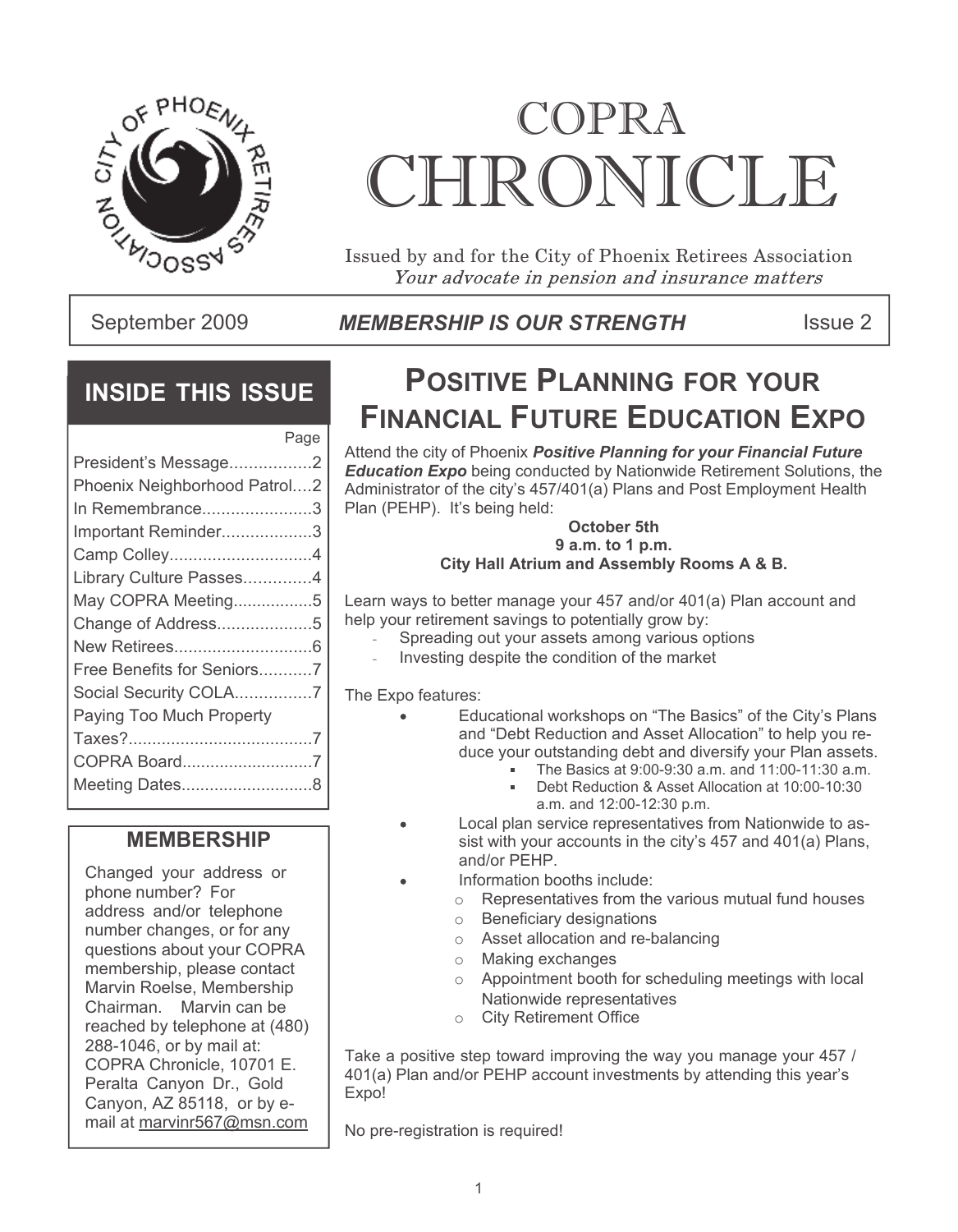

# COPRA CHRONICLE

Issued by and for the City of Phoenix Retirees Association Your advocate in pension and insurance matters

### September 2009 **ISBN MEMBERSHIP IS OUR STRENGTH** Thissue 2

## **INSIDE THIS ISSUE**

| Page                         |  |
|------------------------------|--|
| President's Message2         |  |
| Phoenix Neighborhood Patrol2 |  |
| In Remembrance3              |  |
| Important Reminder3          |  |
| Camp Colley4                 |  |
| Library Culture Passes4      |  |
| May COPRA Meeting5           |  |
| Change of Address5           |  |
|                              |  |
| Free Benefits for Seniors7   |  |
| Social Security COLA7        |  |
| Paying Too Much Property     |  |
|                              |  |
| COPRA Board7                 |  |
| Meeting Dates8               |  |

### **MEMBERSHIP**

Changed your address or phone number? For address and/or telephone number changes, or for any questions about your COPRA membership, please contact Marvin Roelse, Membership Chairman. Marvin can be reached by telephone at (480) 288-1046, or by mail at: COPRA Chronicle, 10701 E. Peralta Canyon Dr., Gold Canyon, AZ 85118, or by email at marvinr567@msn.com

## **POSITIVE PLANNING FOR YOUR FINANCIAL FUTURE EDUCATION EXPO**

Attend the city of Phoenix *Positive Planning for your Financial Future Education Expo* being conducted by Nationwide Retirement Solutions, the Administrator of the city's 457/401(a) Plans and Post Employment Health Plan (PEHP). It's being held:

#### **October 5th 9 a.m. to 1 p.m. City Hall Atrium and Assembly Rooms A & B.**

Learn ways to better manage your 457 and/or 401(a) Plan account and help your retirement savings to potentially grow by:

- Spreading out your assets among various options
- Investing despite the condition of the market

The Expo features:

- Educational workshops on "The Basics" of the City's Plans and "Debt Reduction and Asset Allocation" to help you reduce your outstanding debt and diversify your Plan assets.
	- The Basics at 9:00-9:30 a.m. and 11:00-11:30 a.m.
	- Debt Reduction & Asset Allocation at 10:00-10:30 a.m. and 12:00-12:30 p.m.
- Local plan service representatives from Nationwide to assist with your accounts in the city's 457 and 401(a) Plans, and/or PEHP.
- Information booths include:
	- o Representatives from the various mutual fund houses
	- o Beneficiary designations
	- o Asset allocation and re-balancing
	- o Making exchanges
	- o Appointment booth for scheduling meetings with local Nationwide representatives
	- o City Retirement Office

Take a positive step toward improving the way you manage your 457 / 401(a) Plan and/or PEHP account investments by attending this year's Expo!

No pre-registration is required!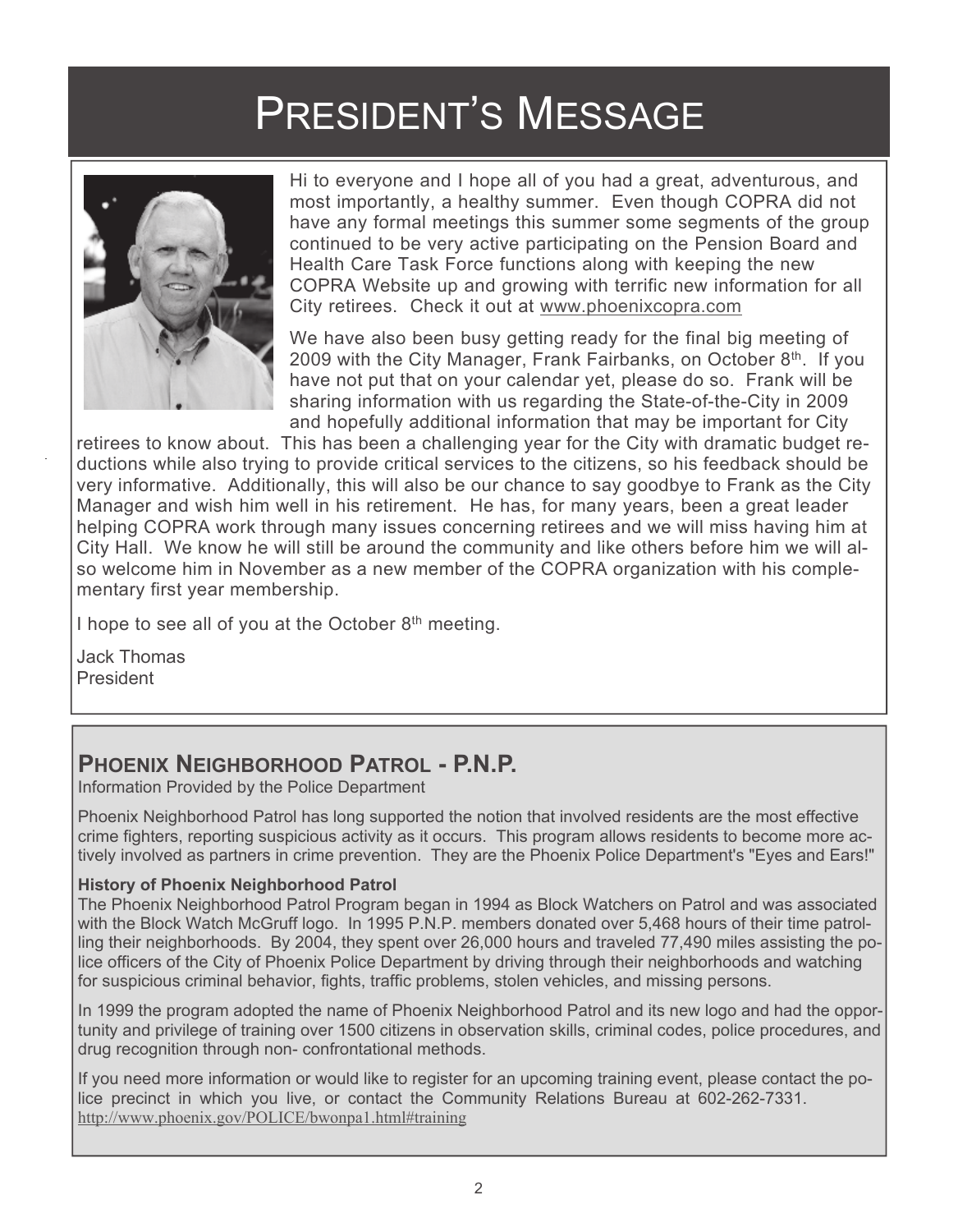## PRESIDENT'S MESSAGE



 Hi to everyone and I hope all of you had a great, adventurous, and most importantly, a healthy summer. Even though COPRA did not have any formal meetings this summer some segments of the group continued to be very active participating on the Pension Board and Health Care Task Force functions along with keeping the new COPRA Website up and growing with terrific new information for all City retirees. Check it out at www.phoenixcopra.com

We have also been busy getting ready for the final big meeting of 2009 with the City Manager, Frank Fairbanks, on October 8<sup>th</sup>. If you have not put that on your calendar yet, please do so. Frank will be sharing information with us regarding the State-of-the-City in 2009 and hopefully additional information that may be important for City

retirees to know about. This has been a challenging year for the City with dramatic budget reductions while also trying to provide critical services to the citizens, so his feedback should be very informative. Additionally, this will also be our chance to say goodbye to Frank as the City Manager and wish him well in his retirement. He has, for many years, been a great leader helping COPRA work through many issues concerning retirees and we will miss having him at City Hall. We know he will still be around the community and like others before him we will also welcome him in November as a new member of the COPRA organization with his complementary first year membership.

I hope to see all of you at the October  $8<sup>th</sup>$  meeting.

Jack Thomas President

## **PHOENIX NEIGHBORHOOD PATROL - P.N.P.**

Information Provided by the Police Department

Phoenix Neighborhood Patrol has long supported the notion that involved residents are the most effective crime fighters, reporting suspicious activity as it occurs. This program allows residents to become more actively involved as partners in crime prevention. They are the Phoenix Police Department's "Eyes and Ears!"

### **History of Phoenix Neighborhood Patrol**

The Phoenix Neighborhood Patrol Program began in 1994 as Block Watchers on Patrol and was associated with the Block Watch McGruff logo. In 1995 P.N.P. members donated over 5,468 hours of their time patrolling their neighborhoods. By 2004, they spent over 26,000 hours and traveled 77,490 miles assisting the police officers of the City of Phoenix Police Department by driving through their neighborhoods and watching for suspicious criminal behavior, fights, traffic problems, stolen vehicles, and missing persons.

In 1999 the program adopted the name of Phoenix Neighborhood Patrol and its new logo and had the opportunity and privilege of training over 1500 citizens in observation skills, criminal codes, police procedures, and drug recognition through non- confrontational methods.

If you need more information or would like to register for an upcoming training event, please contact the police precinct in which you live, or contact the Community Relations Bureau at 602-262-7331. http://www.phoenix.gov/POLICE/bwonpa1.html#training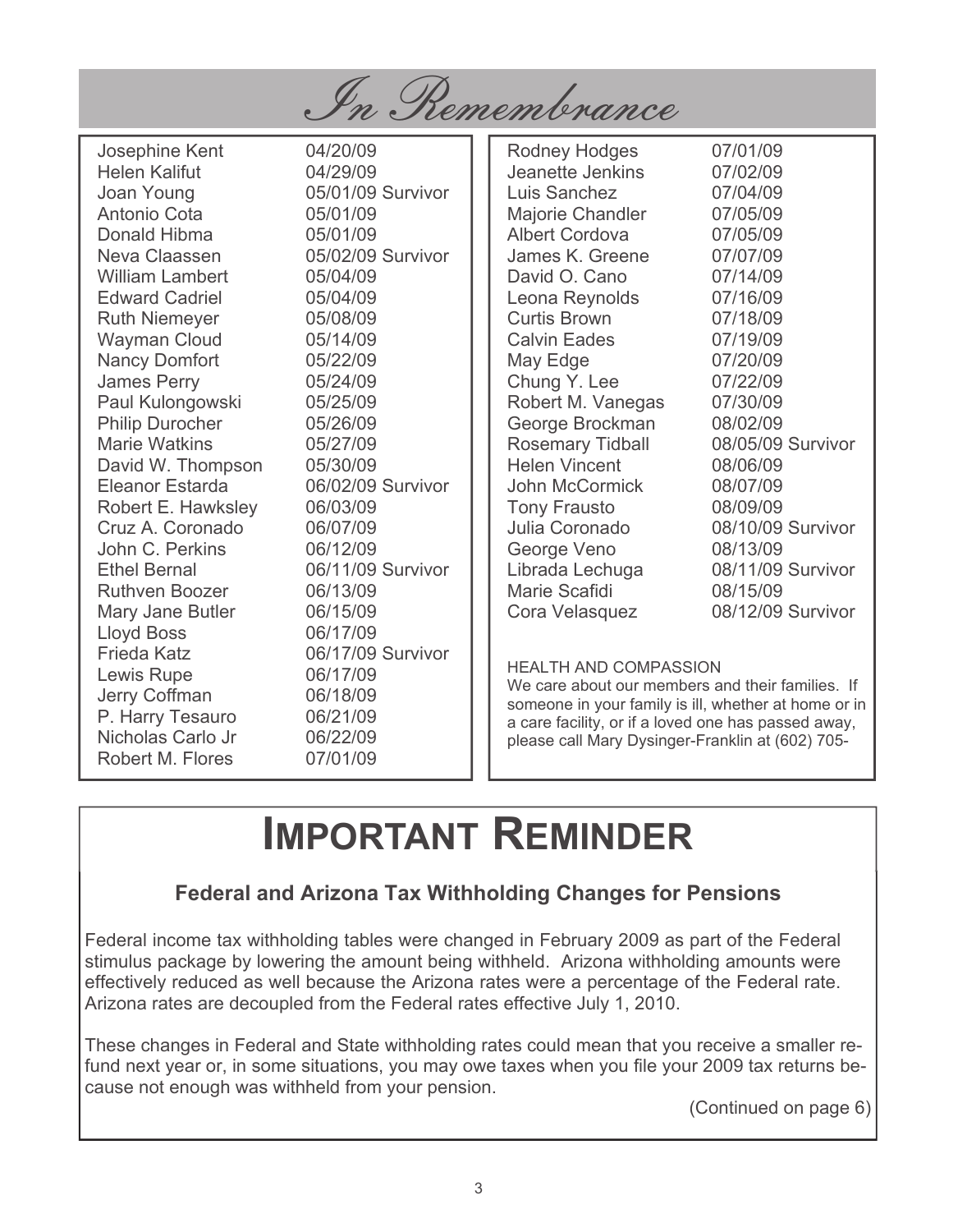

Josephine Kent 04/20/09 Helen Kalifut 04/29/09 Joan Young 05/01/09 Survivor Antonio Cota 05/01/09 Donald Hibma 05/01/09 Neva Claassen 05/02/09 Survivor William Lambert 05/04/09 Edward Cadriel 05/04/09 Ruth Niemeyer 05/08/09 Wayman Cloud 05/14/09 Nancy Domfort 05/22/09 James Perry 05/24/09 Paul Kulongowski 05/25/09 Philip Durocher 05/26/09 Marie Watkins 05/27/09 David W. Thompson 05/30/09 Eleanor Estarda 06/02/09 Survivor Robert E. Hawksley 06/03/09 Cruz A. Coronado 06/07/09 John C. Perkins 06/12/09<br>Ethel Bernal 06/11/09 Ruthven Boozer 06/13/09 Mary Jane Butler 06/15/09 Lloyd Boss 06/17/09 Frieda Katz 06/17/09 Survivor Lewis Rupe 06/17/09 Jerry Coffman 06/18/09 P. Harry Tesauro 06/21/09 Nicholas Carlo Jr 06/22/09 Robert M. Flores 07/01/09

06/11/09 Survivor

Rodney Hodges 07/01/09 Jeanette Jenkins 07/02/09 Luis Sanchez 07/04/09 Majorie Chandler 07/05/09 Albert Cordova 07/05/09 James K. Greene 07/07/09 David O. Cano 07/14/09 Leona Reynolds 07/16/09 Curtis Brown 07/18/09 Calvin Eades 07/19/09 May Edge 07/20/09 Chung Y. Lee 07/22/09 Robert M. Vanegas 07/30/09 George Brockman 08/02/09 Rosemary Tidball 08/05/09 Survivor Helen Vincent 08/06/09 John McCormick 08/07/09 Tony Frausto 08/09/09 Julia Coronado 08/10/09 Survivor George Veno 08/13/09 Librada Lechuga 08/11/09 Survivor Marie Scafidi 08/15/09 Cora Velasquez 08/12/09 Survivor

### HEALTH AND COMPASSION

We care about our members and their families. If someone in your family is ill, whether at home or in a care facility, or if a loved one has passed away, please call Mary Dysinger-Franklin at (602) 705-

## **IMPORTANT REMINDER**

### **Federal and Arizona Tax Withholding Changes for Pensions**

Federal income tax withholding tables were changed in February 2009 as part of the Federal stimulus package by lowering the amount being withheld. Arizona withholding amounts were effectively reduced as well because the Arizona rates were a percentage of the Federal rate. Arizona rates are decoupled from the Federal rates effective July 1, 2010.

These changes in Federal and State withholding rates could mean that you receive a smaller refund next year or, in some situations, you may owe taxes when you file your 2009 tax returns because not enough was withheld from your pension.

(Continued on page 6)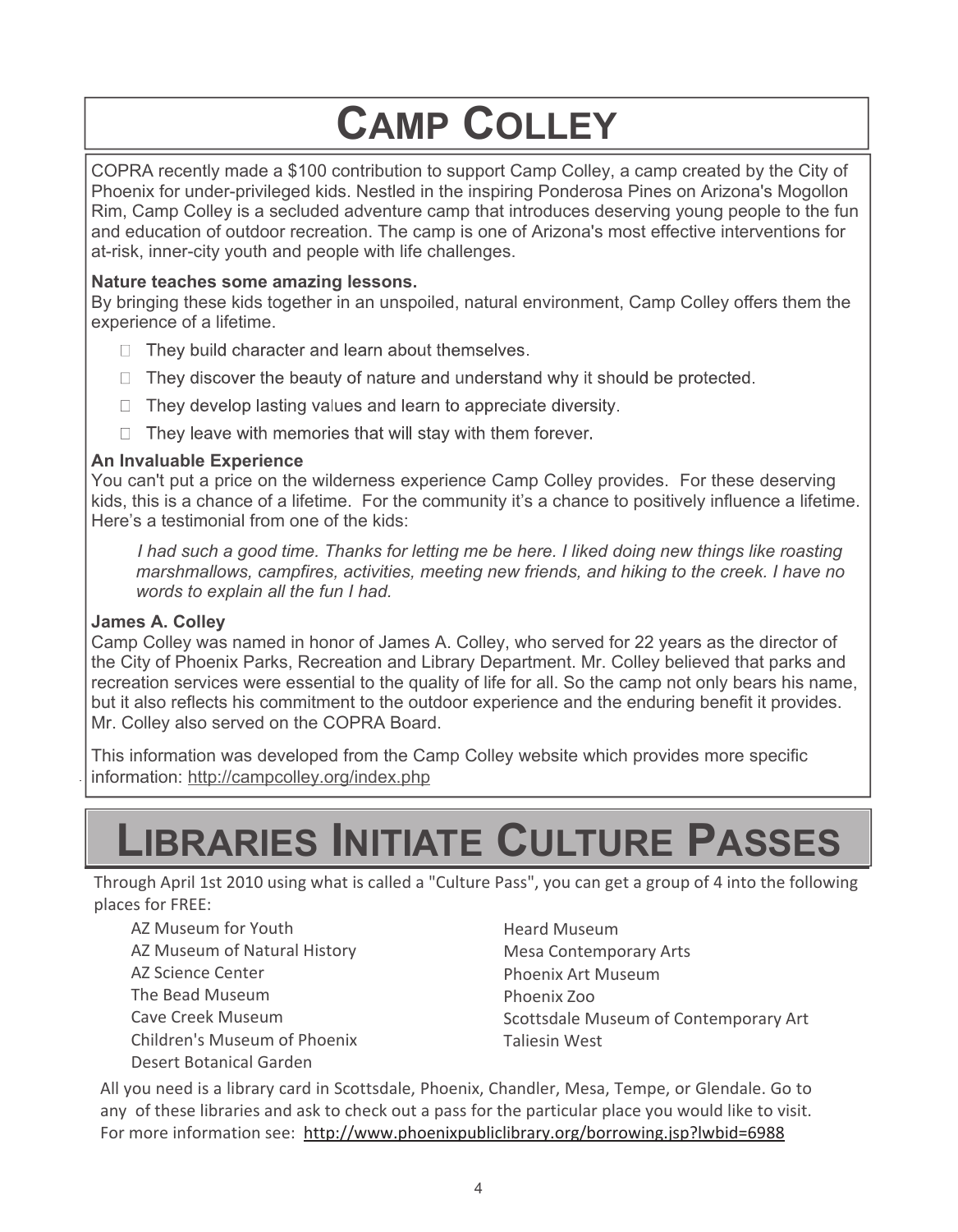## **CAMP COLLEY**

COPRA recently made a \$100 contribution to support Camp Colley, a camp created by the City of Phoenix for under-privileged kids. Nestled in the inspiring Ponderosa Pines on Arizona's Mogollon Rim, Camp Colley is a secluded adventure camp that introduces deserving young people to the fun and education of outdoor recreation. The camp is one of Arizona's most effective interventions for at-risk, inner-city youth and people with life challenges.

### **Nature teaches some amazing lessons.**

By bringing these kids together in an unspoiled, natural environment, Camp Colley offers them the experience of a lifetime.

- $\Box$  They build character and learn about themselves.
- $\Box$  They discover the beauty of nature and understand why it should be protected.
- $\Box$  They develop lasting values and learn to appreciate diversity.
- $\Box$  They leave with memories that will stay with them forever.

### **An Invaluable Experience**

You can't put a price on the wilderness experience Camp Colley provides. For these deserving kids, this is a chance of a lifetime. For the community it's a chance to positively influence a lifetime. Here's a testimonial from one of the kids:

*I had such a good time. Thanks for letting me be here. I liked doing new things like roasting marshmallows, campfires, activities, meeting new friends, and hiking to the creek. I have no words to explain all the fun I had.*

### **James A. Colley**

Camp Colley was named in honor of James A. Colley, who served for 22 years as the director of the City of Phoenix Parks, Recreation and Library Department. Mr. Colley believed that parks and recreation services were essential to the quality of life for all. So the camp not only bears his name, but it also reflects his commitment to the outdoor experience and the enduring benefit it provides. Mr. Colley also served on the COPRA Board.

This information was developed from the Camp Colley website which provides more specific information: http://campcolley.org/index.php

## **LIBRARIES INITIATE CULTURE PASSES**

Through April 1st 2010 using what is called a "Culture Pass", you can get a group of 4 into the following places for FREE:

AZ Museum for Youth AZ Museum of Natural History AZ Science Center The Bead Museum Cave Creek Museum Children's Museum of Phoenix Desert Botanical Garden

Heard Museum Mesa Contemporary Arts Phoenix Art Museum Phoenix Zoo Scottsdale Museum of Contemporary Art Taliesin West

All you need is a library card in Scottsdale, Phoenix, Chandler, Mesa, Tempe, or Glendale. Go to any of these libraries and ask to check out a pass for the particular place you would like to visit. For more information see: http://www.phoenixpubliclibrary.org/borrowing.jsp?lwbid=6988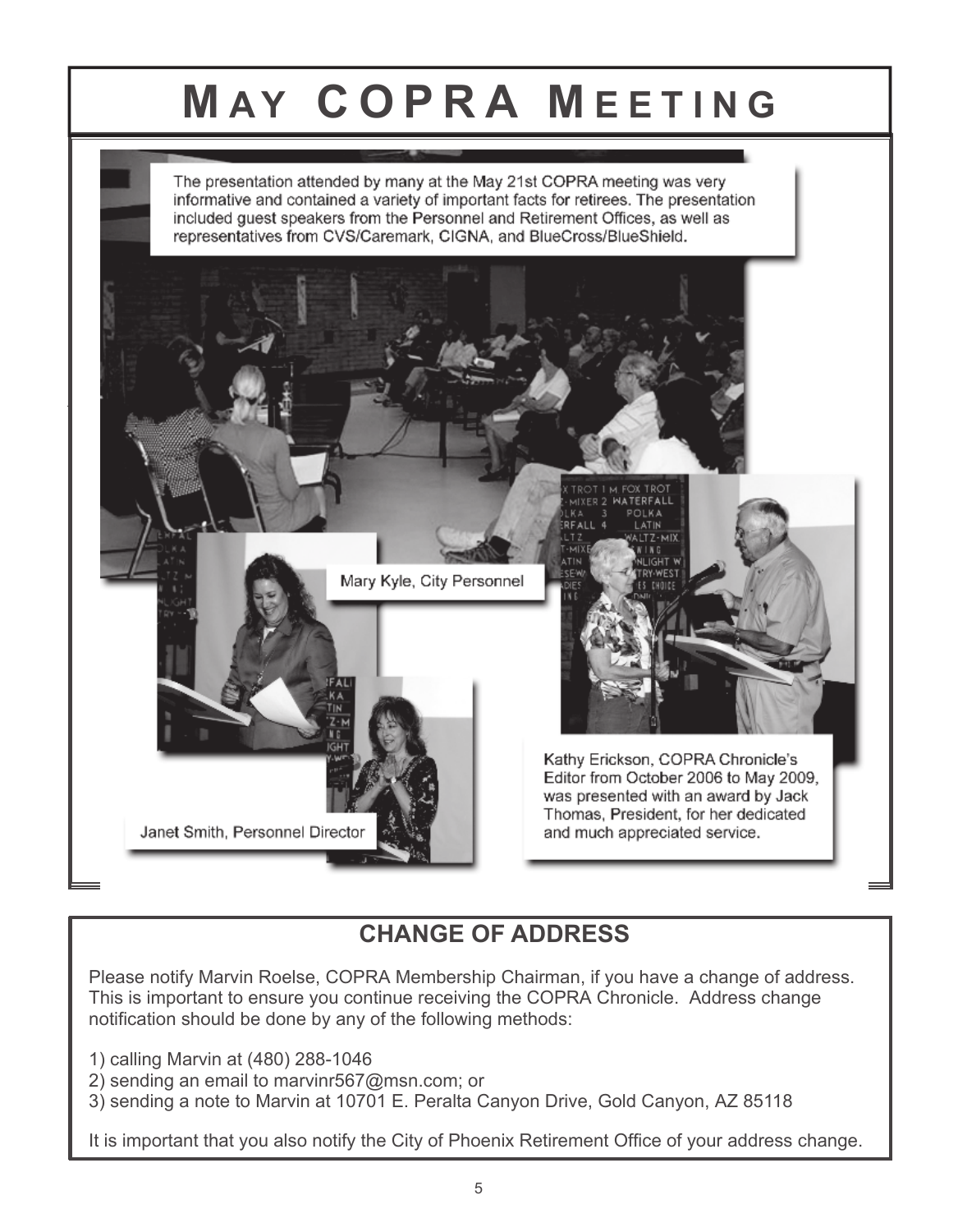## **MAY COPRA MEETING**

The presentation attended by many at the May 21st COPRA meeting was very informative and contained a variety of important facts for retirees. The presentation included guest speakers from the Personnel and Retirement Offices, as well as representatives from CVS/Caremark, CIGNA, and BlueCross/BlueShield.



## **CHANGE OF ADDRESS**

Please notify Marvin Roelse, COPRA Membership Chairman, if you have a change of address. This is important to ensure you continue receiving the COPRA Chronicle. Address change notification should be done by any of the following methods:

1) calling Marvin at (480) 288-1046

- 2) sending an email to marvinr567@msn.com; or
- 3) sending a note to Marvin at 10701 E. Peralta Canyon Drive, Gold Canyon, AZ 85118

It is important that you also notify the City of Phoenix Retirement Office of your address change.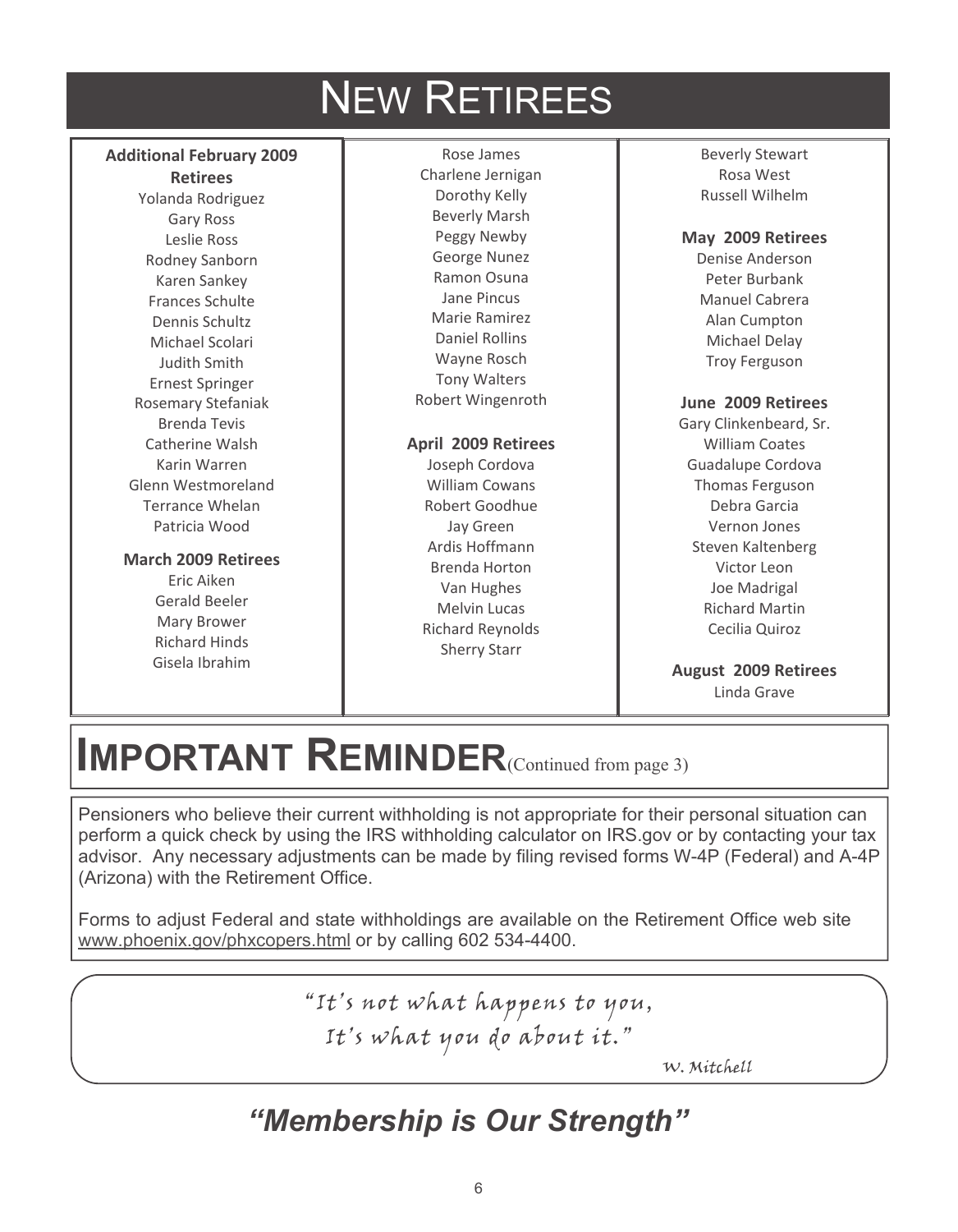## NEW RETIREES

### **Additional February 2009**

#### **Retirees**

Yolanda Rodriguez Gary Ross Leslie Ross Rodney Sanborn Karen Sankey Frances Schulte Dennis Schultz Michael Scolari Judith Smith Ernest Springer Rosemary Stefaniak Brenda Tevis Catherine Walsh Karin Warren Glenn Westmoreland Terrance Whelan Patricia Wood

### **March 2009 Retirees**

Eric Aiken Gerald Beeler Mary Brower Richard Hinds Gisela Ibrahim

Rose James Charlene Jernigan Dorothy Kelly Beverly Marsh Peggy Newby George Nunez Ramon Osuna Jane Pincus Marie Ramirez Daniel Rollins Wayne Rosch Tony Walters Robert Wingenroth

### **April 2009 Retirees**

Joseph Cordova William Cowans Robert Goodhue Jay Green Ardis Hoffmann Brenda Horton Van Hughes Melvin Lucas Richard Reynolds Sherry Starr

Beverly Stewart Rosa West Russell Wilhelm

**May 2009 Retirees** Denise Anderson Peter Burbank Manuel Cabrera Alan Cumpton Michael Delay Troy Ferguson

#### **June 2009 Retirees**

Gary Clinkenbeard, Sr. William Coates Guadalupe Cordova Thomas Ferguson Debra Garcia Vernon Jones Steven Kaltenberg Victor Leon Joe Madrigal Richard Martin Cecilia Quiroz

**August 2009 Retirees** Linda Grave

## **IMPORTANT REMINDER**(Continued from page 3)

Pensioners who believe their current withholding is not appropriate for their personal situation can perform a quick check by using the IRS withholding calculator on IRS.gov or by contacting your tax advisor. Any necessary adjustments can be made by filing revised forms W-4P (Federal) and A-4P (Arizona) with the Retirement Office.

Forms to adjust Federal and state withholdings are available on the Retirement Office web site www.phoenix.gov/phxcopers.html or by calling 602 534-4400.

> "It's not what happens to you, It's what you do about it."

> > W. Mitchell

## *"Membership is Our Strength"*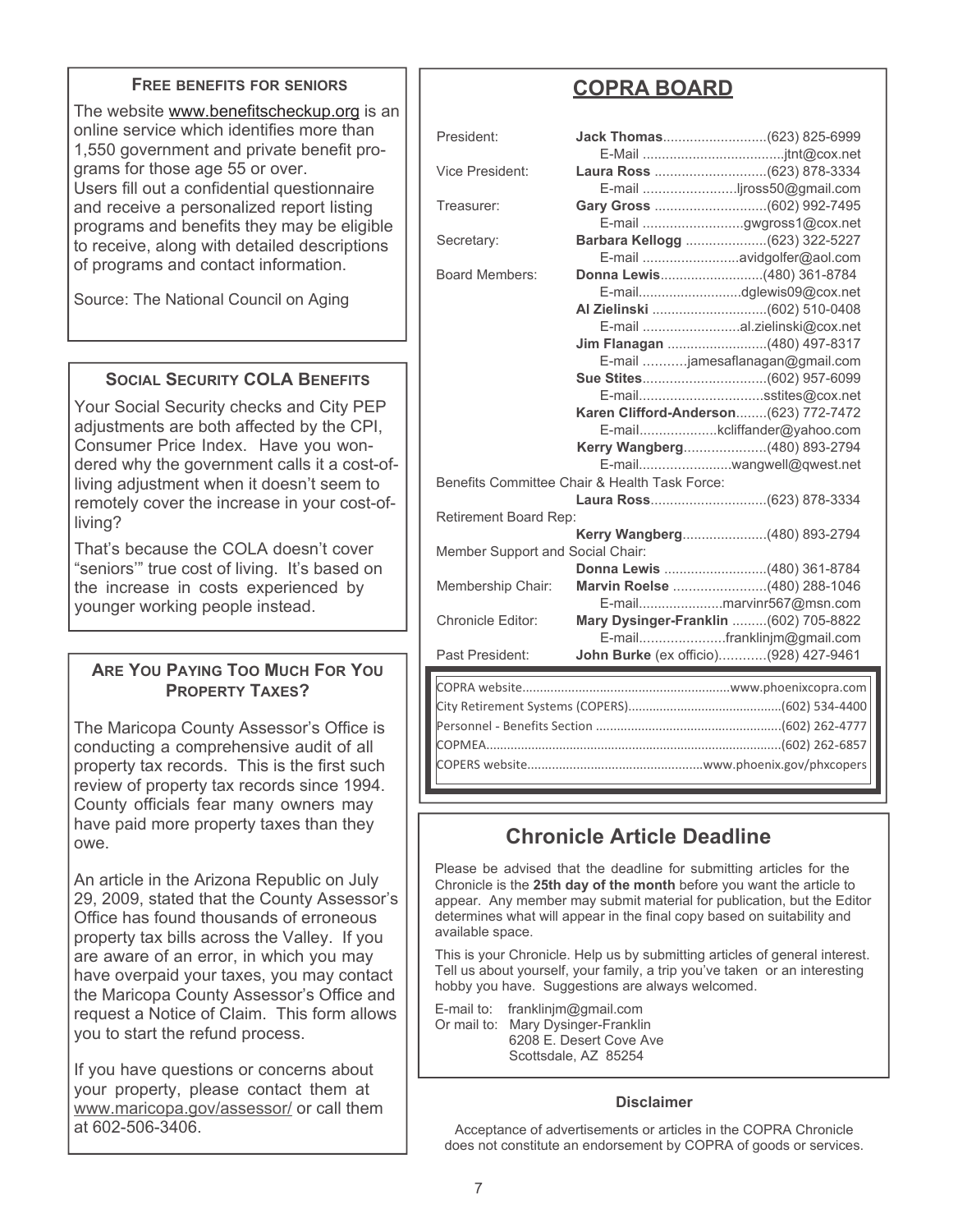#### **FREE BENEFITS FOR SENIORS**

The website www.benefitscheckup.org is an online service which identifies more than 1,550 government and private benefit programs for those age 55 or over. Users fill out a confidential questionnaire and receive a personalized report listing programs and benefits they may be eligible to receive, along with detailed descriptions of programs and contact information.

Source: The National Council on Aging

### **SOCIAL SECURITY COLA BENEFITS**

Your Social Security checks and City PEP adjustments are both affected by the CPI, Consumer Price Index. Have you wondered why the government calls it a cost-ofliving adjustment when it doesn't seem to remotely cover the increase in your cost-ofliving?

That's because the COLA doesn't cover "seniors'" true cost of living. It's based on the increase in costs experienced by younger working people instead.

### **ARE YOU PAYING TOO MUCH FOR YOU PROPERTY TAXES?**

The Maricopa County Assessor's Office is conducting a comprehensive audit of all property tax records. This is the first such review of property tax records since 1994. County officials fear many owners may have paid more property taxes than they owe.

An article in the Arizona Republic on July 29, 2009, stated that the County Assessor's Office has found thousands of erroneous property tax bills across the Valley. If you are aware of an error, in which you may have overpaid your taxes, you may contact the Maricopa County Assessor's Office and request a Notice of Claim. This form allows you to start the refund process.

If you have questions or concerns about your property, please contact them at www.maricopa.gov/assessor/ or call them at 602-506-3406.

### **COPRA BOARD**

| President:                                    |                                                                |  |
|-----------------------------------------------|----------------------------------------------------------------|--|
| Vice President:                               | E-mail jross50@gmail.com                                       |  |
| Treasurer:                                    | E-mail gwgross1@cox.net                                        |  |
| Secretary:                                    | Barbara Kellogg (623) 322-5227                                 |  |
| <b>Board Members:</b>                         | E-mail avidgolfer@aol.com                                      |  |
|                                               |                                                                |  |
|                                               |                                                                |  |
|                                               | Jim Flanagan (480) 497-8317                                    |  |
|                                               | E-mail jamesaflanagan@gmail.com                                |  |
|                                               |                                                                |  |
|                                               | E-mailsstites@cox.net<br>Karen Clifford-Anderson(623) 772-7472 |  |
|                                               | E-mailkcliffander@yahoo.com                                    |  |
|                                               | Kerry Wangberg(480) 893-2794                                   |  |
|                                               | E-mailwangwell@qwest.net                                       |  |
| Benefits Committee Chair & Health Task Force: |                                                                |  |
|                                               |                                                                |  |
| Retirement Board Rep:                         |                                                                |  |
|                                               |                                                                |  |
| Member Support and Social Chair:              |                                                                |  |
|                                               |                                                                |  |
| Membership Chair:                             | Marvin Roelse (480) 288-1046                                   |  |
|                                               | E-mailmarvinr567@msn.com                                       |  |
| <b>Chronicle Editor:</b>                      | Mary Dysinger-Franklin (602) 705-8822                          |  |
|                                               | E-mailfranklinjm@gmail.com                                     |  |
| Past President:                               | John Burke (ex officio)(928) 427-9461                          |  |
|                                               |                                                                |  |
|                                               |                                                                |  |
|                                               |                                                                |  |
|                                               |                                                                |  |

### **Chronicle Article Deadline**

Please be advised that the deadline for submitting articles for the Chronicle is the **25th day of the month** before you want the article to appear. Any member may submit material for publication, but the Editor determines what will appear in the final copy based on suitability and available space.

COPMEA.....................................................................................(602) 262-6857 COPERS website..................................................www.phoenix.gov/phxcopers

This is your Chronicle. Help us by submitting articles of general interest. Tell us about yourself, your family, a trip you've taken or an interesting hobby you have. Suggestions are always welcomed.

E-mail to: franklinjm@gmail.com Or mail to: Mary Dysinger-Franklin 6208 E. Desert Cove Ave Scottsdale, AZ 85254

#### **Disclaimer**

Acceptance of advertisements or articles in the COPRA Chronicle does not constitute an endorsement by COPRA of goods or services.